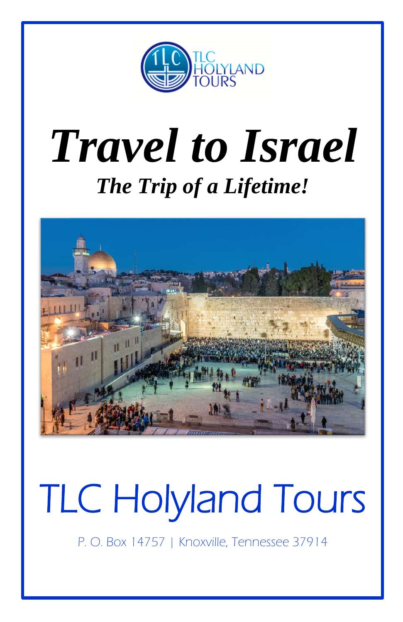

# *Travel to Israel The Trip of a Lifetime!*



# TLC Holyland Tours

P. O. Box 14757 | Knoxville, Tennessee 37914

L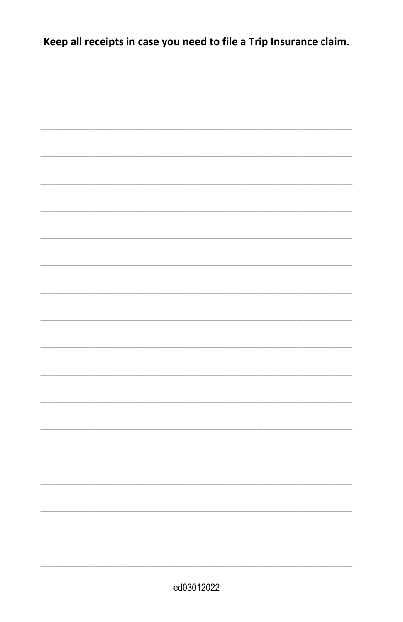Keep all receipts in case you need to file a Trip Insurance claim.

| ed03012022 |  |
|------------|--|
|            |  |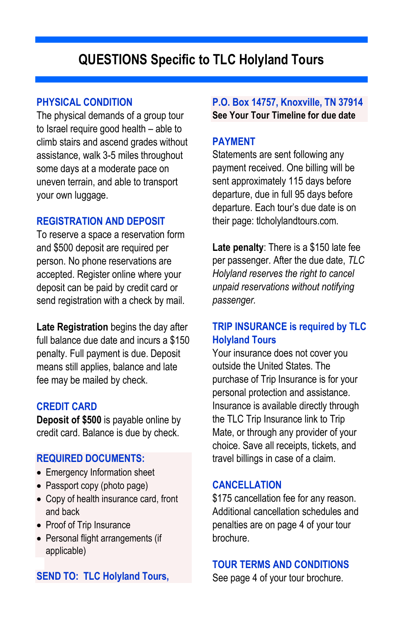# **QUESTIONS Specific to TLC Holyland Tours**

#### **PHYSICAL CONDITION**

The physical demands of a group tour to Israel require good health – able to climb stairs and ascend grades without assistance, walk 3-5 miles throughout some days at a moderate pace on uneven terrain, and able to transport your own luggage.

#### **REGISTRATION AND DEPOSIT**

To reserve a space a reservation form and \$500 deposit are required per person. No phone reservations are accepted. Register online where your deposit can be paid by credit card or send registration with a check by mail.

**Late Registration** begins the day after full balance due date and incurs a \$150 penalty. Full payment is due. Deposit means still applies, balance and late fee may be mailed by check.

#### **CREDIT CARD**

**Deposit of \$500** is payable online by credit card. Balance is due by check.

#### **REQUIRED DOCUMENTS:**

- Emergency Information sheet
- Passport copy (photo page)
- Copy of health insurance card, front and back
- Proof of Trip Insurance
- Personal flight arrangements (if applicable)

# **SEND TO: TLC Holyland Tours,**

**P.O. Box 14757, Knoxville, TN 37914 See Your Tour Timeline for due date**

#### **PAYMENT**

Statements are sent following any payment received. One billing will be sent approximately 115 days before departure, due in full 95 days before departure. Each tour's due date is on their page: tlcholylandtours.com.

**Late penalty**: There is a \$150 late fee per passenger. After the due date, *TLC Holyland reserves the right to cancel unpaid reservations without notifying passenger.*

# **TRIP INSURANCE is required by TLC Holyland Tours**

Your insurance does not cover you outside the United States. The purchase of Trip Insurance is for your personal protection and assistance. Insurance is available directly through the TLC Trip Insurance link to Trip Mate, or through any provider of your choice. Save all receipts, tickets, and travel billings in case of a claim.

#### **CANCELLATION**

\$175 cancellation fee for any reason. Additional cancellation schedules and penalties are on page 4 of your tour brochure.

#### **TOUR TERMS AND CONDITIONS**

See page 4 of your tour brochure.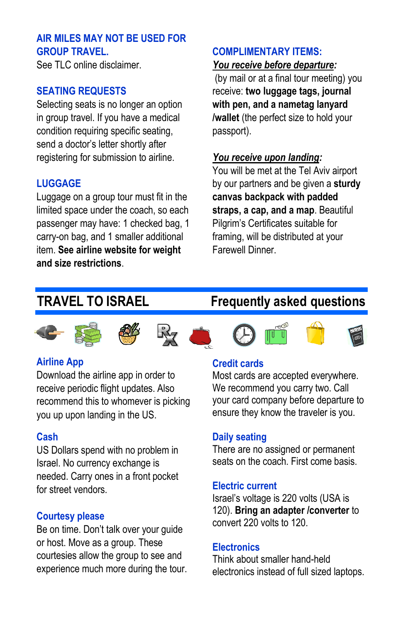# **AIR MILES MAY NOT BE USED FOR GROUP TRAVEL.**

See TLC online disclaimer.

# **SEATING REQUESTS**

Selecting seats is no longer an option in group travel. If you have a medical condition requiring specific seating, send a doctor's letter shortly after registering for submission to airline.

# **LUGGAGE**

Luggage on a group tour must fit in the limited space under the coach, so each passenger may have: 1 checked bag, 1 carry-on bag, and 1 smaller additional item. **See airline website for weight and size restrictions**.

# **COMPLIMENTARY ITEMS:** *You receive before departure:*

(by mail or at a final tour meeting) you receive: **two luggage tags, journal with pen, and a nametag lanyard /wallet** (the perfect size to hold your passport).

# *You receive upon landing:*

You will be met at the Tel Aviv airport by our partners and be given a **sturdy canvas backpack with padded straps, a cap, and a map**. Beautiful Pilgrim's Certificates suitable for framing, will be distributed at your Farewell Dinner.

# **TRAVEL TO ISRAEL Frequently asked questions**















## **Airline App**

Download the airline app in order to receive periodic flight updates. Also recommend this to whomever is picking you up upon landing in the US.

## **Cash**

US Dollars spend with no problem in Israel. No currency exchange is needed. Carry ones in a front pocket for street vendors.

## **Courtesy please**

Be on time. Don't talk over your guide or host. Move as a group. These courtesies allow the group to see and experience much more during the tour.

# **Credit cards**

Most cards are accepted everywhere. We recommend you carry two. Call your card company before departure to ensure they know the traveler is you.

## **Daily seating**

There are no assigned or permanent seats on the coach. First come basis.

#### **Electric current**

Israel's voltage is 220 volts (USA is 120). **Bring an adapter /converter** to convert 220 volts to 120.

## **Electronics**

Think about smaller hand-held electronics instead of full sized laptops.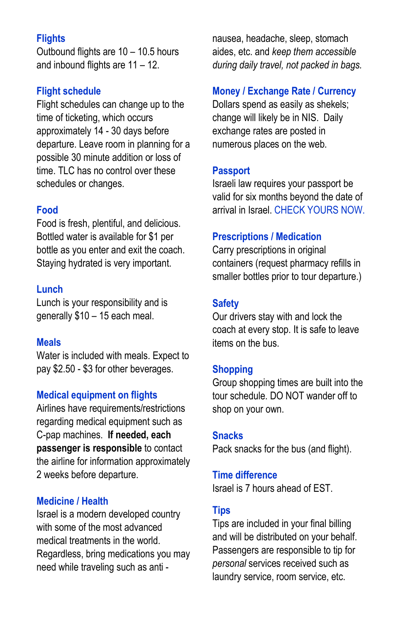# **Flights**

Outbound flights are 10 – 10.5 hours and inbound flights are 11 – 12.

#### **Flight schedule**

Flight schedules can change up to the time of ticketing, which occurs approximately 14 - 30 days before departure. Leave room in planning for a possible 30 minute addition or loss of time. TLC has no control over these schedules or changes.

#### **Food**

Food is fresh, plentiful, and delicious. Bottled water is available for \$1 per bottle as you enter and exit the coach. Staying hydrated is very important.

#### **Lunch**

Lunch is your responsibility and is generally \$10 – 15 each meal.

#### **Meals**

Water is included with meals. Expect to pay \$2.50 - \$3 for other beverages.

# **Medical equipment on flights**

Airlines have requirements/restrictions regarding medical equipment such as C-pap machines. **If needed, each passenger is responsible** to contact the airline for information approximately 2 weeks before departure.

#### **Medicine / Health**

Israel is a modern developed country with some of the most advanced medical treatments in the world. Regardless, bring medications you may need while traveling such as anti -

nausea, headache, sleep, stomach aides, etc. and *keep them accessible during daily travel, not packed in bags.*

#### **Money / Exchange Rate / Currency**

Dollars spend as easily as shekels; change will likely be in NIS. Daily exchange rates are posted in numerous places on the web.

#### **Passport**

Israeli law requires your passport be valid for six months beyond the date of arrival in Israel. CHECK YOURS NOW.

#### **Prescriptions / Medication**

Carry prescriptions in original containers (request pharmacy refills in smaller bottles prior to tour departure.)

#### **Safety**

Our drivers stay with and lock the coach at every stop. It is safe to leave items on the bus.

#### **Shopping**

Group shopping times are built into the tour schedule. DO NOT wander off to shop on your own.

#### **Snacks**

Pack snacks for the bus (and flight).

#### **Time difference**

Israel is 7 hours ahead of EST.

#### **Tips**

Tips are included in your final billing and will be distributed on your behalf. Passengers are responsible to tip for *personal* services received such as laundry service, room service, etc.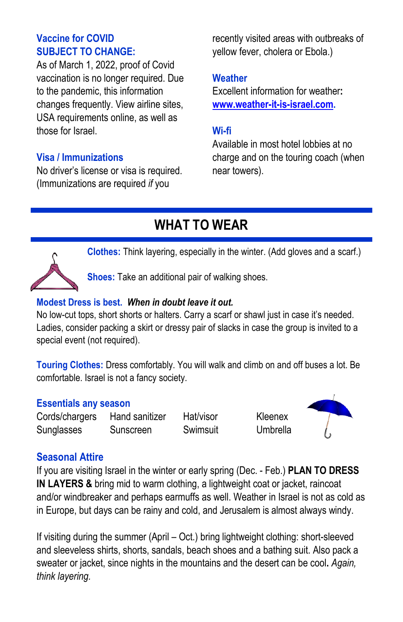# **Vaccine for COVID SUBJECT TO CHANGE:**

As of March 1, 2022, proof of Covid vaccination is no longer required. Due to the pandemic, this information changes frequently. View airline sites, USA requirements online, as well as those for Israel.

# **Visa / Immunizations**

No driver's license or visa is required. (Immunizations are required *if* you

recently visited areas with outbreaks of yellow fever, cholera or Ebola.)

# **Weather**

Excellent information for weather**: [www.weather-it-is-israel.com.](http://www.weather-it-is-israel.com/)** 

# **Wi-fi**

Available in most hotel lobbies at no charge and on the touring coach (when near towers).

# **WHAT TO WEAR**



**Clothes:** Think layering, especially in the winter. (Add gloves and a scarf.)

**Shoes:** Take an additional pair of walking shoes.

# **Modest Dress is best.** *When in doubt leave it out.*

No low-cut tops, short shorts or halters. Carry a scarf or shawl just in case it's needed. Ladies, consider packing a skirt or dressy pair of slacks in case the group is invited to a special event (not required).

**Touring Clothes:** Dress comfortably. You will walk and climb on and off buses a lot. Be comfortable. Israel is not a fancy society.

# **Essentials any season**

Cords/chargers Hand sanitizer Hat/visor Kleenex Sunglasses Sunscreen Swimsuit Umbrella



# **Seasonal Attire**

If you are visiting Israel in the winter or early spring (Dec. - Feb.) **PLAN TO DRESS IN LAYERS &** bring mid to warm clothing, a lightweight coat or jacket, raincoat and/or windbreaker and perhaps earmuffs as well. Weather in Israel is not as cold as in Europe, but days can be rainy and cold, and Jerusalem is almost always windy.

If visiting during the summer (April – Oct.) bring lightweight clothing: short-sleeved and sleeveless shirts, shorts, sandals, beach shoes and a bathing suit. Also pack a sweater or jacket, since nights in the mountains and the desert can be cool**.** *Again, think layering.*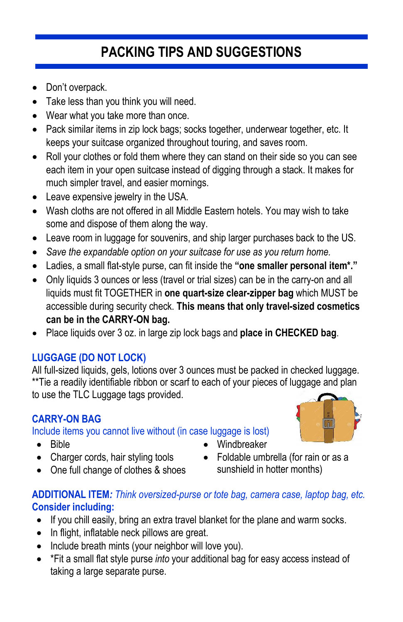# **PACKING TIPS AND SUGGESTIONS**

- Don't overpack.
- Take less than you think you will need.
- Wear what you take more than once.
- Pack similar items in zip lock bags; socks together, underwear together, etc. It keeps your suitcase organized throughout touring, and saves room.
- Roll your clothes or fold them where they can stand on their side so you can see each item in your open suitcase instead of digging through a stack. It makes for much simpler travel, and easier mornings.
- Leave expensive jewelry in the USA.
- Wash cloths are not offered in all Middle Eastern hotels. You may wish to take some and dispose of them along the way.
- Leave room in luggage for souvenirs, and ship larger purchases back to the US.
- *Save the expandable option on your suitcase for use as you return home.*
- Ladies, a small flat-style purse, can fit inside the **"one smaller personal item\*."**
- Only liquids 3 ounces or less (travel or trial sizes) can be in the carry-on and all liquids must fit TOGETHER in **one quart-size clear-zipper bag** which MUST be accessible during security check. **This means that only travel-sized cosmetics can be in the CARRY-ON bag.**
- Place liquids over 3 oz. in large zip lock bags and **place in CHECKED bag**.

# **LUGGAGE (DO NOT LOCK)**

All full-sized liquids, gels, lotions over 3 ounces must be packed in checked luggage. \*\*Tie a readily identifiable ribbon or scarf to each of your pieces of luggage and plan to use the TLC Luggage tags provided.

# **CARRY-ON BAG**

Include items you cannot live without (in case luggage is lost)

- Bible
- Charger cords, hair styling tools
- One full change of clothes & shoes
- Foldable umbrella (for rain or as a sunshield in hotter months)

• Windbreaker

# **ADDITIONAL ITEM***: Think oversized-purse or tote bag, camera case, laptop bag, etc.* **Consider including:**

- If you chill easily, bring an extra travel blanket for the plane and warm socks.
- In flight, inflatable neck pillows are great.
- Include breath mints (your neighbor will love you).
- \*Fit a small flat style purse *into* your additional bag for easy access instead of taking a large separate purse.